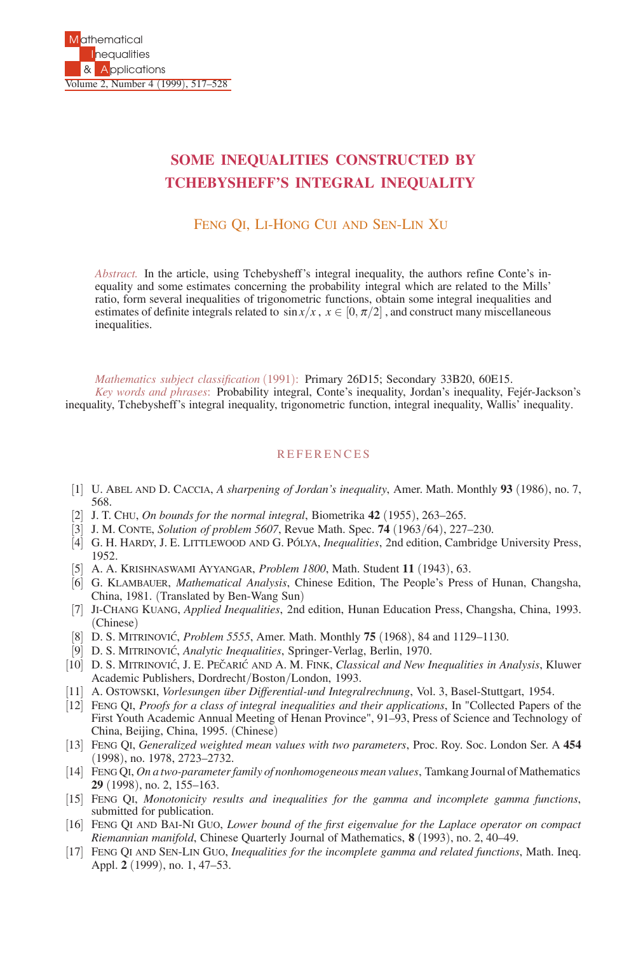## **SOME INEQUALITIES CONSTRUCTED BY TCHEBYSHEFF'S INTEGRAL INEQUALITY**

FENG QI, LI-HONG CUI AND SEN-LIN XU

*Abstract.* In the article, using Tchebysheff's integral inequality, the authors refine Conte's inequality and some estimates concerning the probability integral which are related to the Mills' ratio, form several inequalities of trigonometric functions, obtain some integral inequalities and estimates of definite integrals related to  $\sin x/x$ ,  $x \in [0, \pi/2]$ , and construct many miscellaneous inequalities.

*Mathematics subject classification* (1991): Primary 26D15; Secondary 33B20, 60E15.

*Key words and phrases*: Probability integral, Conte's inequality, Jordan's inequality, Fejer-Jackson's ´ inequality, Tchebysheff's integral inequality, trigonometric function, integral inequality, Wallis' inequality.

## **REFERENCES**

- [1] U. ABEL AND D. CACCIA, *A sharpening of Jordan's inequality*, Amer. Math. Monthly **93** (1986), no. 7, 568.
- [2] J. T. CHU, *On bounds for the normal integral*, Biometrika **42** (1955), 263–265.
- [3] J. M. CONTE, *Solution of problem 5607*, Revue Math. Spec. **74** (1963/64), 227–230.
- [4] G. H. HARDY, J. E. LITTLEWOOD AND G. PÓLYA, *Inequalities*, 2nd edition, Cambridge University Press, 1952.
- [5] A. A. KRISHNASWAMI AYYANGAR, *Problem 1800*, Math. Student **11** (1943), 63.
- [6] G. KLAMBAUER, *Mathematical Analysis*, Chinese Edition, The People's Press of Hunan, Changsha, China, 1981. (Translated by Ben-Wang Sun)
- [7] JI-CHANG KUANG, *Applied Inequalities*, 2nd edition, Hunan Education Press, Changsha, China, 1993. (Chinese)
- [8] D. S. MITRINOVIC´, *Problem 5555*, Amer. Math. Monthly **75** (1968), 84 and 1129–1130.
- [9] D. S. MITRINOVIC´, *Analytic Inequalities*, Springer-Verlag, Berlin, 1970.
- [10] D. S. MITRINOVIĆ, J. E. PEČARIĆ AND A. M. FINK, *Classical and New Inequalities in Analysis*, Kluwer Academic Publishers, Dordrecht/Boston/London, 1993.
- [11] A. OSTOWSKI, *Vorlesungen über Differential-und Integralrechnung*, Vol. 3, Basel-Stuttgart, 1954.
- [12] FENG QI, *Proofs for a class of integral inequalities and their applications*, In "Collected Papers of the First Youth Academic Annual Meeting of Henan Province", 91–93, Press of Science and Technology of China, Beijing, China, 1995. (Chinese)
- [13] FENG QI, *Generalized weighted mean values with two parameters*, Proc. Roy. Soc. London Ser. A **454** (1998), no. 1978, 2723–2732.
- [14] FENG QI, *On a two-parameter family of nonhomogeneous mean values*, Tamkang Journal of Mathematics **29** (1998), no. 2, 155–163.
- [15] FENG QI, *Monotonicity results and inequalities for the gamma and incomplete gamma functions*, submitted for publication.
- [16] FENG QI AND BAI-NI GUO, *Lower bound of the first eigenvalue for the Laplace operator on compact Riemannian manifold*, Chinese Quarterly Journal of Mathematics, **8** (1993), no. 2, 40–49.
- [17] FENG QI AND SEN-LIN GUO, *Inequalities for the incomplete gamma and related functions*, Math. Ineq. Appl. **2** (1999), no. 1, 47–53.